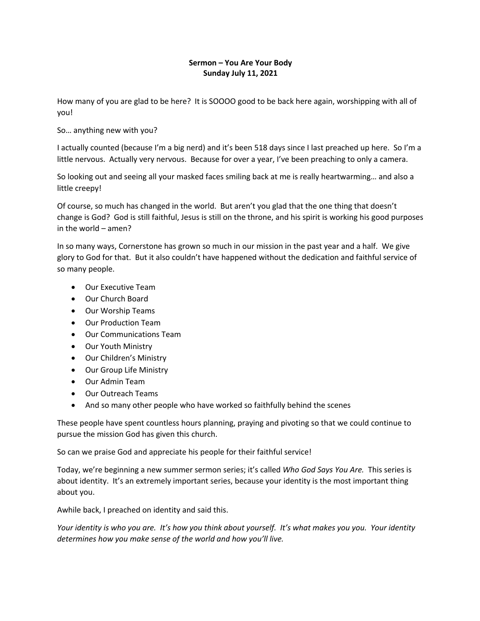## **Sermon – You Are Your Body Sunday July 11, 2021**

How many of you are glad to be here? It is SOOOO good to be back here again, worshipping with all of you!

So… anything new with you?

I actually counted (because I'm a big nerd) and it's been 518 days since I last preached up here. So I'm a little nervous. Actually very nervous. Because for over a year, I've been preaching to only a camera.

So looking out and seeing all your masked faces smiling back at me is really heartwarming… and also a little creepy!

Of course, so much has changed in the world. But aren't you glad that the one thing that doesn't change is God? God is still faithful, Jesus is still on the throne, and his spirit is working his good purposes in the world – amen?

In so many ways, Cornerstone has grown so much in our mission in the past year and a half. We give glory to God for that. But it also couldn't have happened without the dedication and faithful service of so many people.

- Our Executive Team
- Our Church Board
- Our Worship Teams
- Our Production Team
- Our Communications Team
- Our Youth Ministry
- Our Children's Ministry
- Our Group Life Ministry
- Our Admin Team
- Our Outreach Teams
- And so many other people who have worked so faithfully behind the scenes

These people have spent countless hours planning, praying and pivoting so that we could continue to pursue the mission God has given this church.

So can we praise God and appreciate his people for their faithful service!

Today, we're beginning a new summer sermon series; it's called *Who God Says You Are.* This series is about identity. It's an extremely important series, because your identity is the most important thing about you.

Awhile back, I preached on identity and said this.

*Your identity is who you are. It's how you think about yourself. It's what makes you you. Your identity determines how you make sense of the world and how you'll live.*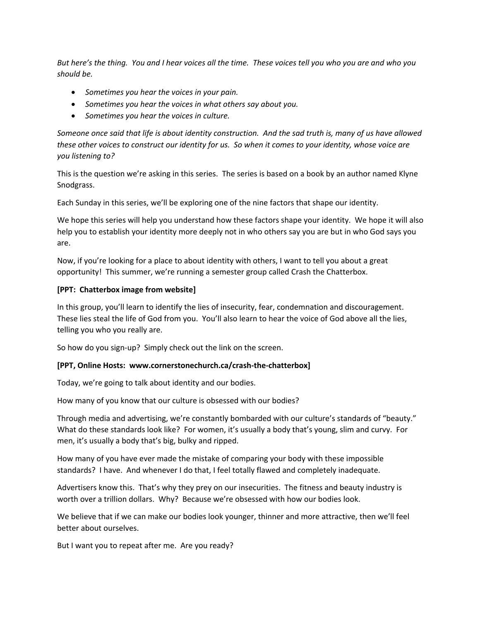*But here's the thing. You and I hear voices all the time. These voices tell you who you are and who you should be.*

- *Sometimes you hear the voices in your pain.*
- *Sometimes you hear the voices in what others say about you.*
- *Sometimes you hear the voices in culture.*

*Someone once said that life is about identity construction. And the sad truth is, many of us have allowed these other voices to construct our identity for us. So when it comes to your identity, whose voice are you listening to?*

This is the question we're asking in this series. The series is based on a book by an author named Klyne Snodgrass.

Each Sunday in this series, we'll be exploring one of the nine factors that shape our identity.

We hope this series will help you understand how these factors shape your identity. We hope it will also help you to establish your identity more deeply not in who others say you are but in who God says you are.

Now, if you're looking for a place to about identity with others, I want to tell you about a great opportunity! This summer, we're running a semester group called Crash the Chatterbox.

#### **[PPT: Chatterbox image from website]**

In this group, you'll learn to identify the lies of insecurity, fear, condemnation and discouragement. These lies steal the life of God from you. You'll also learn to hear the voice of God above all the lies, telling you who you really are.

So how do you sign-up? Simply check out the link on the screen.

#### **[PPT, Online Hosts: www.cornerstonechurch.ca/crash-the-chatterbox]**

Today, we're going to talk about identity and our bodies.

How many of you know that our culture is obsessed with our bodies?

Through media and advertising, we're constantly bombarded with our culture's standards of "beauty." What do these standards look like? For women, it's usually a body that's young, slim and curvy. For men, it's usually a body that's big, bulky and ripped.

How many of you have ever made the mistake of comparing your body with these impossible standards? I have. And whenever I do that, I feel totally flawed and completely inadequate.

Advertisers know this. That's why they prey on our insecurities. The fitness and beauty industry is worth over a trillion dollars. Why? Because we're obsessed with how our bodies look.

We believe that if we can make our bodies look younger, thinner and more attractive, then we'll feel better about ourselves.

But I want you to repeat after me. Are you ready?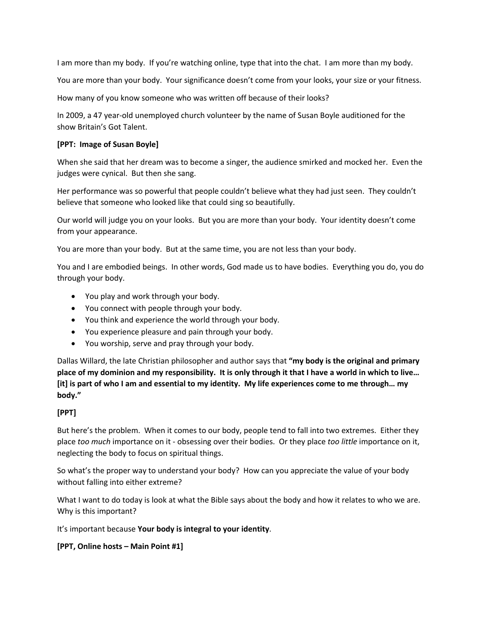I am more than my body. If you're watching online, type that into the chat. I am more than my body.

You are more than your body. Your significance doesn't come from your looks, your size or your fitness.

How many of you know someone who was written off because of their looks?

In 2009, a 47 year-old unemployed church volunteer by the name of Susan Boyle auditioned for the show Britain's Got Talent.

## **[PPT: Image of Susan Boyle]**

When she said that her dream was to become a singer, the audience smirked and mocked her. Even the judges were cynical. But then she sang.

Her performance was so powerful that people couldn't believe what they had just seen. They couldn't believe that someone who looked like that could sing so beautifully.

Our world will judge you on your looks. But you are more than your body. Your identity doesn't come from your appearance.

You are more than your body. But at the same time, you are not less than your body.

You and I are embodied beings. In other words, God made us to have bodies. Everything you do, you do through your body.

- You play and work through your body.
- You connect with people through your body.
- You think and experience the world through your body.
- You experience pleasure and pain through your body.
- You worship, serve and pray through your body.

Dallas Willard, the late Christian philosopher and author says that **"my body is the original and primary place of my dominion and my responsibility. It is only through it that I have a world in which to live… [it] is part of who I am and essential to my identity. My life experiences come to me through… my body."**

## **[PPT]**

But here's the problem. When it comes to our body, people tend to fall into two extremes. Either they place *too much* importance on it - obsessing over their bodies. Or they place *too little* importance on it, neglecting the body to focus on spiritual things.

So what's the proper way to understand your body? How can you appreciate the value of your body without falling into either extreme?

What I want to do today is look at what the Bible says about the body and how it relates to who we are. Why is this important?

It's important because **Your body is integral to your identity**.

**[PPT, Online hosts – Main Point #1]**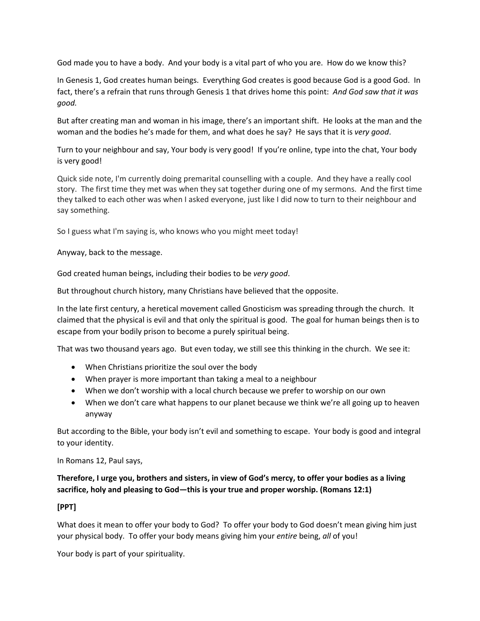God made you to have a body. And your body is a vital part of who you are. How do we know this?

In Genesis 1, God creates human beings. Everything God creates is good because God is a good God. In fact, there's a refrain that runs through Genesis 1 that drives home this point: *And God saw that it was good.*

But after creating man and woman in his image, there's an important shift. He looks at the man and the woman and the bodies he's made for them, and what does he say? He says that it is *very good*.

Turn to your neighbour and say, Your body is very good! If you're online, type into the chat, Your body is very good!

Quick side note, I'm currently doing premarital counselling with a couple. And they have a really cool story. The first time they met was when they sat together during one of my sermons. And the first time they talked to each other was when I asked everyone, just like I did now to turn to their neighbour and say something.

So I guess what I'm saying is, who knows who you might meet today!

Anyway, back to the message.

God created human beings, including their bodies to be *very good*.

But throughout church history, many Christians have believed that the opposite.

In the late first century, a heretical movement called Gnosticism was spreading through the church. It claimed that the physical is evil and that only the spiritual is good. The goal for human beings then is to escape from your bodily prison to become a purely spiritual being.

That was two thousand years ago. But even today, we still see this thinking in the church. We see it:

- When Christians prioritize the soul over the body
- When prayer is more important than taking a meal to a neighbour
- When we don't worship with a local church because we prefer to worship on our own
- When we don't care what happens to our planet because we think we're all going up to heaven anyway

But according to the Bible, your body isn't evil and something to escape. Your body is good and integral to your identity.

In Romans 12, Paul says,

# **Therefore, I urge you, brothers and sisters, in view of God's mercy, to offer your bodies as a living sacrifice, holy and pleasing to God—this is your true and proper worship. (Romans 12:1)**

## **[PPT]**

What does it mean to offer your body to God? To offer your body to God doesn't mean giving him just your physical body. To offer your body means giving him your *entire* being, *all* of you!

Your body is part of your spirituality.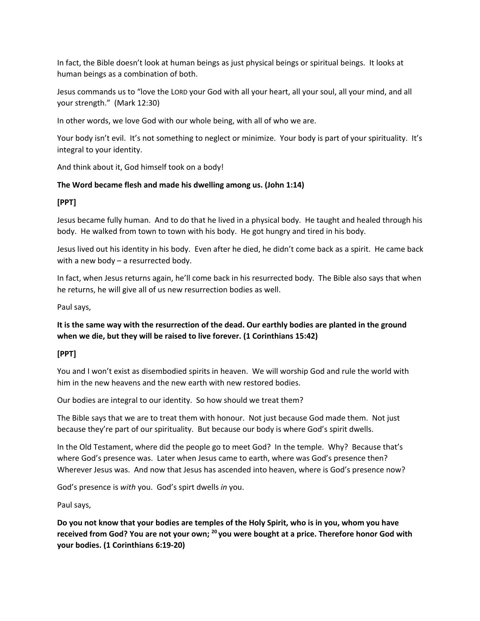In fact, the Bible doesn't look at human beings as just physical beings or spiritual beings. It looks at human beings as a combination of both.

Jesus commands us to "love the LORD your God with all your heart, all your soul, all your mind, and all your strength." (Mark 12:30)

In other words, we love God with our whole being, with all of who we are.

Your body isn't evil. It's not something to neglect or minimize. Your body is part of your spirituality. It's integral to your identity.

And think about it, God himself took on a body!

## **The Word became flesh and made his dwelling among us. (John 1:14)**

## **[PPT]**

Jesus became fully human. And to do that he lived in a physical body. He taught and healed through his body. He walked from town to town with his body. He got hungry and tired in his body.

Jesus lived out his identity in his body. Even after he died, he didn't come back as a spirit. He came back with a new body – a resurrected body.

In fact, when Jesus returns again, he'll come back in his resurrected body. The Bible also says that when he returns, he will give all of us new resurrection bodies as well.

Paul says,

# **It is the same way with the resurrection of the dead. Our earthly bodies are planted in the ground when we die, but they will be raised to live forever. (1 Corinthians 15:42)**

## **[PPT]**

You and I won't exist as disembodied spirits in heaven. We will worship God and rule the world with him in the new heavens and the new earth with new restored bodies.

Our bodies are integral to our identity. So how should we treat them?

The Bible says that we are to treat them with honour. Not just because God made them. Not just because they're part of our spirituality. But because our body is where God's spirit dwells.

In the Old Testament, where did the people go to meet God? In the temple. Why? Because that's where God's presence was. Later when Jesus came to earth, where was God's presence then? Wherever Jesus was. And now that Jesus has ascended into heaven, where is God's presence now?

God's presence is *with* you. God's spirt dwells *in* you.

Paul says,

**Do you not know that your bodies are temples of the Holy Spirit, who is in you, whom you have received from God? You are not your own; <sup>20</sup> you were bought at a price. Therefore honor God with your bodies. (1 Corinthians 6:19-20)**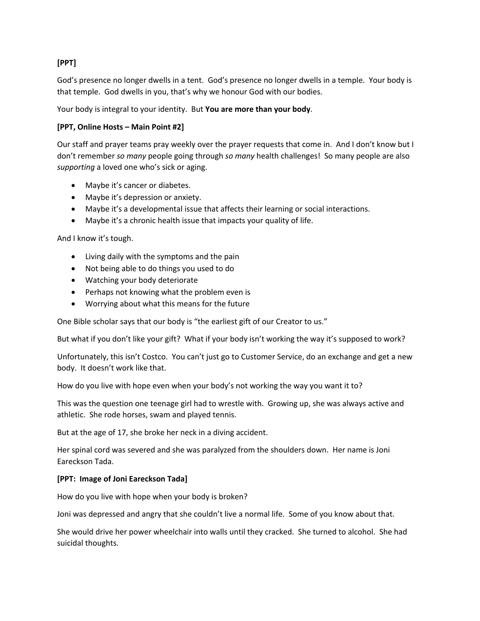# **[PPT]**

God's presence no longer dwells in a tent. God's presence no longer dwells in a temple. Your body is that temple. God dwells in you, that's why we honour God with our bodies.

Your body is integral to your identity. But **You are more than your body**.

## **[PPT, Online Hosts – Main Point #2]**

Our staff and prayer teams pray weekly over the prayer requests that come in. And I don't know but I don't remember *so many* people going through *so many* health challenges! So many people are also *supporting* a loved one who's sick or aging.

- Maybe it's cancer or diabetes.
- Maybe it's depression or anxiety.
- Maybe it's a developmental issue that affects their learning or social interactions.
- Maybe it's a chronic health issue that impacts your quality of life.

And I know it's tough.

- Living daily with the symptoms and the pain
- Not being able to do things you used to do
- Watching your body deteriorate
- Perhaps not knowing what the problem even is
- Worrying about what this means for the future

One Bible scholar says that our body is "the earliest gift of our Creator to us."

But what if you don't like your gift? What if your body isn't working the way it's supposed to work?

Unfortunately, this isn't Costco. You can't just go to Customer Service, do an exchange and get a new body. It doesn't work like that.

How do you live with hope even when your body's not working the way you want it to?

This was the question one teenage girl had to wrestle with. Growing up, she was always active and athletic. She rode horses, swam and played tennis.

But at the age of 17, she broke her neck in a diving accident.

Her spinal cord was severed and she was paralyzed from the shoulders down. Her name is Joni Eareckson Tada.

#### **[PPT: Image of Joni Eareckson Tada]**

How do you live with hope when your body is broken?

Joni was depressed and angry that she couldn't live a normal life. Some of you know about that.

She would drive her power wheelchair into walls until they cracked. She turned to alcohol. She had suicidal thoughts.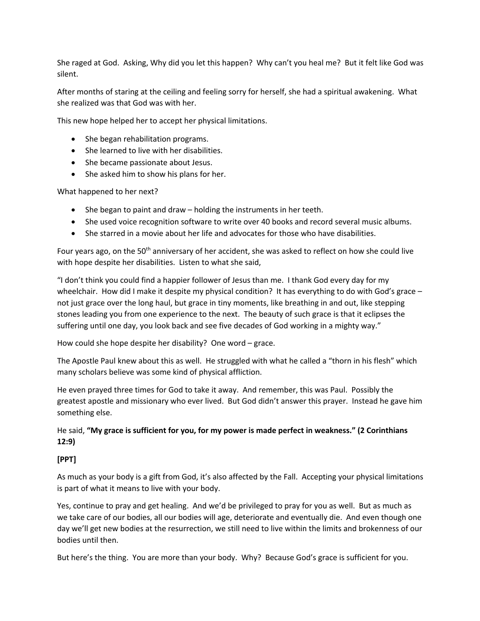She raged at God. Asking, Why did you let this happen? Why can't you heal me? But it felt like God was silent.

After months of staring at the ceiling and feeling sorry for herself, she had a spiritual awakening. What she realized was that God was with her.

This new hope helped her to accept her physical limitations.

- She began rehabilitation programs.
- She learned to live with her disabilities.
- She became passionate about Jesus.
- She asked him to show his plans for her.

What happened to her next?

- She began to paint and draw holding the instruments in her teeth.
- She used voice recognition software to write over 40 books and record several music albums.
- She starred in a movie about her life and advocates for those who have disabilities.

Four years ago, on the 50<sup>th</sup> anniversary of her accident, she was asked to reflect on how she could live with hope despite her disabilities. Listen to what she said,

"I don't think you could find a happier follower of Jesus than me. I thank God every day for my wheelchair. How did I make it despite my physical condition? It has everything to do with God's grace – not just grace over the long haul, but grace in tiny moments, like breathing in and out, like stepping stones leading you from one experience to the next. The beauty of such grace is that it eclipses the suffering until one day, you look back and see five decades of God working in a mighty way."

How could she hope despite her disability? One word – grace.

The Apostle Paul knew about this as well. He struggled with what he called a "thorn in his flesh" which many scholars believe was some kind of physical affliction.

He even prayed three times for God to take it away. And remember, this was Paul. Possibly the greatest apostle and missionary who ever lived. But God didn't answer this prayer. Instead he gave him something else.

## He said, **"My grace is sufficient for you, for my power is made perfect in weakness." (2 Corinthians 12:9)**

## **[PPT]**

As much as your body is a gift from God, it's also affected by the Fall. Accepting your physical limitations is part of what it means to live with your body.

Yes, continue to pray and get healing. And we'd be privileged to pray for you as well. But as much as we take care of our bodies, all our bodies will age, deteriorate and eventually die. And even though one day we'll get new bodies at the resurrection, we still need to live within the limits and brokenness of our bodies until then.

But here's the thing. You are more than your body. Why? Because God's grace is sufficient for you.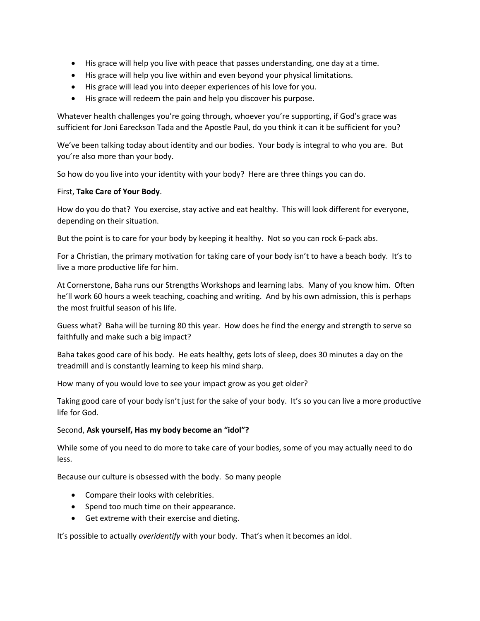- His grace will help you live with peace that passes understanding, one day at a time.
- His grace will help you live within and even beyond your physical limitations.
- His grace will lead you into deeper experiences of his love for you.
- His grace will redeem the pain and help you discover his purpose.

Whatever health challenges you're going through, whoever you're supporting, if God's grace was sufficient for Joni Eareckson Tada and the Apostle Paul, do you think it can it be sufficient for you?

We've been talking today about identity and our bodies. Your body is integral to who you are. But you're also more than your body.

So how do you live into your identity with your body? Here are three things you can do.

#### First, **Take Care of Your Body**.

How do you do that? You exercise, stay active and eat healthy. This will look different for everyone, depending on their situation.

But the point is to care for your body by keeping it healthy. Not so you can rock 6-pack abs.

For a Christian, the primary motivation for taking care of your body isn't to have a beach body. It's to live a more productive life for him.

At Cornerstone, Baha runs our Strengths Workshops and learning labs. Many of you know him. Often he'll work 60 hours a week teaching, coaching and writing. And by his own admission, this is perhaps the most fruitful season of his life.

Guess what? Baha will be turning 80 this year. How does he find the energy and strength to serve so faithfully and make such a big impact?

Baha takes good care of his body. He eats healthy, gets lots of sleep, does 30 minutes a day on the treadmill and is constantly learning to keep his mind sharp.

How many of you would love to see your impact grow as you get older?

Taking good care of your body isn't just for the sake of your body. It's so you can live a more productive life for God.

#### Second, **Ask yourself, Has my body become an "idol"?**

While some of you need to do more to take care of your bodies, some of you may actually need to do less.

Because our culture is obsessed with the body. So many people

- Compare their looks with celebrities.
- Spend too much time on their appearance.
- Get extreme with their exercise and dieting.

It's possible to actually *overidentify* with your body. That's when it becomes an idol.